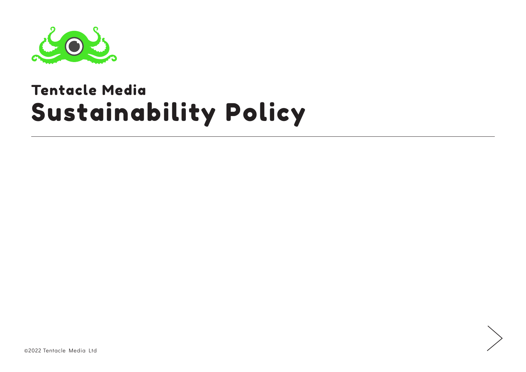

#### Sustainability Policy Tentacle Media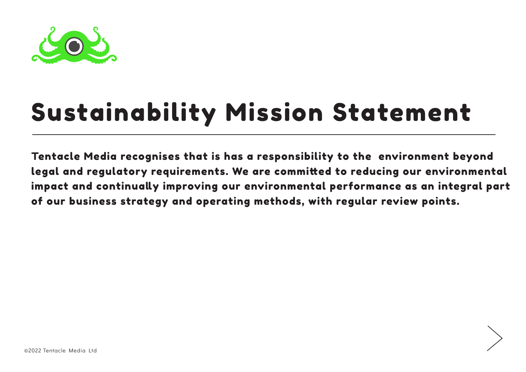

# Sustainability Mission Statement

Tentacle Media recognises that is has a responsibility to the environment beyond legal and regulatory requirements. We are committed to reducing our environmental impact and continually improving our environmental performance as an integral part of our business strategy and operating methods, with regular review points.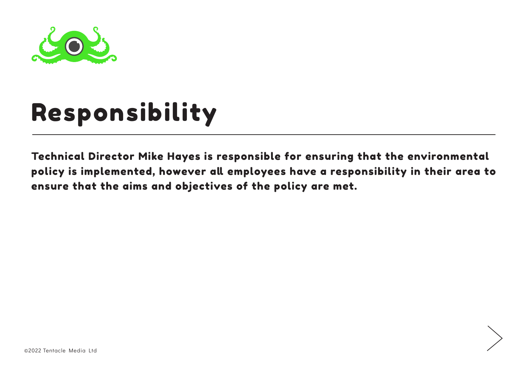

## Responsibility

Technical Director Mike Hayes is responsible for ensuring that the environmental policy is implemented, however all employees have a responsibility in their area to ensure that the aims and objectives of the policy are met.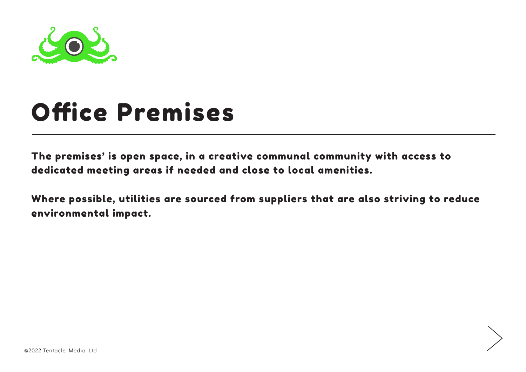

#### Office Premises

The premises' is open space, in a creative communal community with access to dedicated meeting areas if needed and close to local amenities.

Where possible, utilities are sourced from suppliers that are also striving to reduce environmental impact.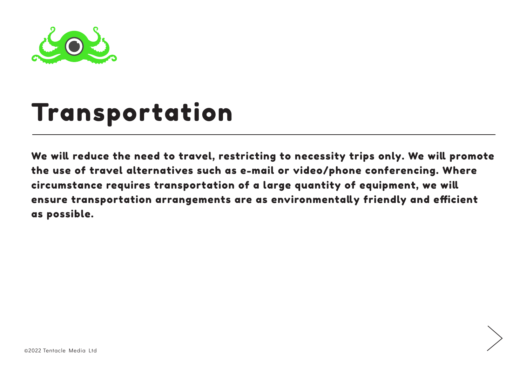

#### Transportation

We will reduce the need to travel, restricting to necessity trips only. We will promote the use of travel alternatives such as e-mail or video/phone conferencing. Where circumstance requires transportation of a large quantity of equipment, we will ensure transportation arrangements are as environmentally friendly and efficient as possible.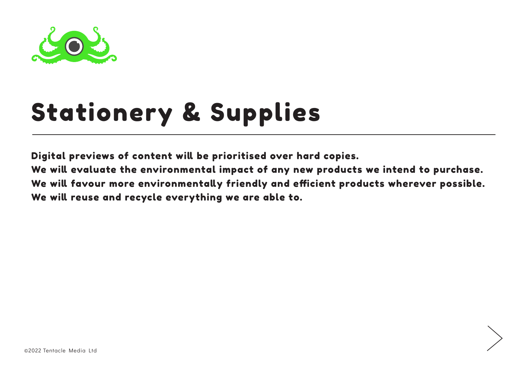

# Stationery & Supplies

Digital previews of content will be prioritised over hard copies.

We will evaluate the environmental impact of any new products we intend to purchase. We will favour more environmentally friendly and efficient products wherever possible. We will reuse and recycle everything we are able to.